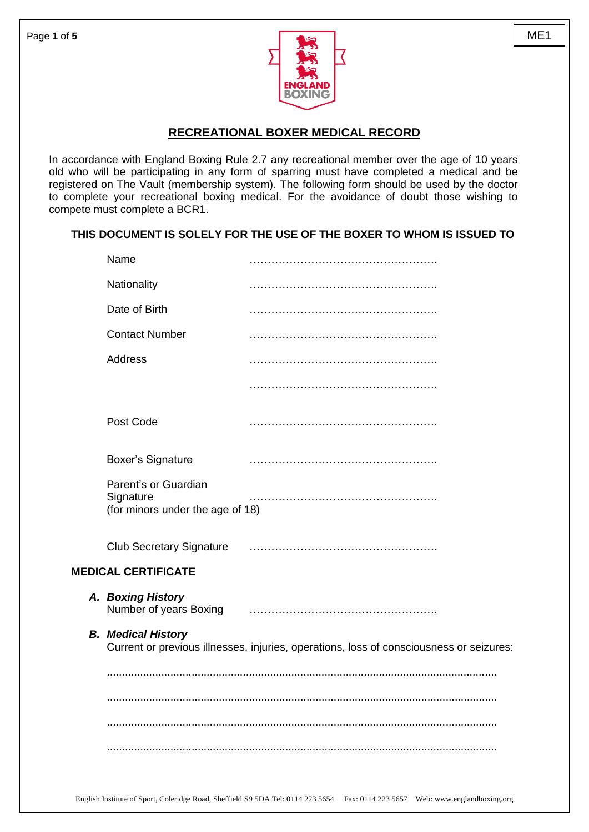

## **RECREATIONAL BOXER MEDICAL RECORD**

In accordance with England Boxing Rule 2.7 any recreational member over the age of 10 years old who will be participating in any form of sparring must have completed a medical and be registered on The Vault (membership system). The following form should be used by the doctor to complete your recreational boxing medical. For the avoidance of doubt those wishing to compete must complete a BCR1.

## **THIS DOCUMENT IS SOLELY FOR THE USE OF THE BOXER TO WHOM IS ISSUED TO**

| Name                                                                  |                                                                                         |
|-----------------------------------------------------------------------|-----------------------------------------------------------------------------------------|
| Nationality                                                           |                                                                                         |
| Date of Birth                                                         |                                                                                         |
| <b>Contact Number</b>                                                 |                                                                                         |
| Address                                                               |                                                                                         |
|                                                                       |                                                                                         |
| Post Code                                                             |                                                                                         |
| <b>Boxer's Signature</b>                                              |                                                                                         |
| Parent's or Guardian<br>Signature<br>(for minors under the age of 18) |                                                                                         |
| <b>Club Secretary Signature</b>                                       |                                                                                         |
| <b>MEDICAL CERTIFICATE</b>                                            |                                                                                         |
| A. Boxing History<br>Number of years Boxing                           |                                                                                         |
| <b>B.</b> Medical History                                             | Current or previous illnesses, injuries, operations, loss of consciousness or seizures: |
|                                                                       |                                                                                         |
|                                                                       |                                                                                         |
|                                                                       |                                                                                         |
|                                                                       |                                                                                         |
|                                                                       |                                                                                         |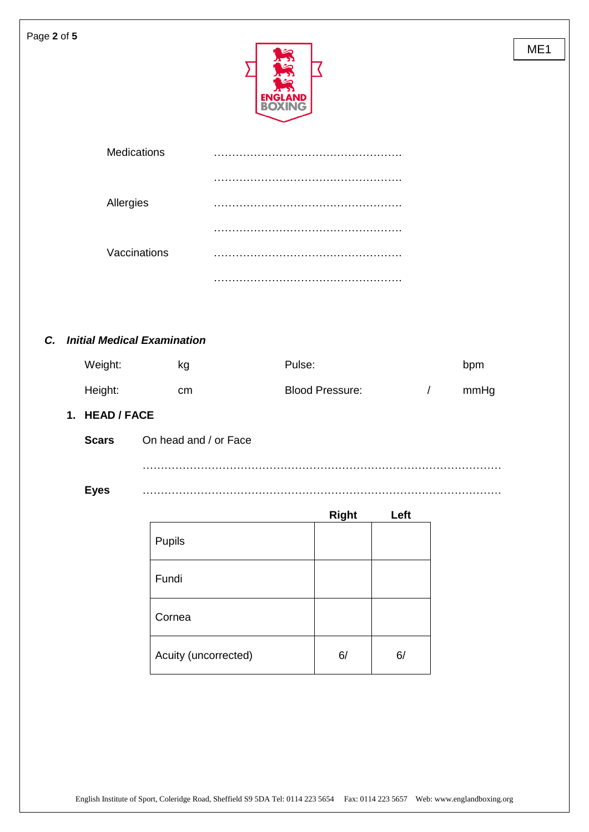| Page 2 of 5  |                                                     |        |                        |            |      | ME <sub>1</sub> |
|--------------|-----------------------------------------------------|--------|------------------------|------------|------|-----------------|
|              | Medications                                         |        |                        |            |      |                 |
|              |                                                     |        |                        |            |      |                 |
|              | Allergies                                           |        |                        |            |      |                 |
|              |                                                     |        |                        |            |      |                 |
|              | Vaccinations                                        |        |                        |            |      |                 |
|              |                                                     |        |                        |            |      |                 |
| C.           | <b>Initial Medical Examination</b><br>Weight:<br>kg | Pulse: |                        |            | bpm  |                 |
| Height:      | cm                                                  |        | <b>Blood Pressure:</b> | $\sqrt{2}$ | mmHg |                 |
|              | 1. HEAD / FACE                                      |        |                        |            |      |                 |
| <b>Scars</b> | On head and / or Face                               |        |                        |            |      |                 |
| <b>Eyes</b>  |                                                     |        |                        |            |      |                 |
|              |                                                     |        | <b>Right</b>           | Left       |      |                 |
|              | Pupils                                              |        |                        |            |      |                 |
|              | Fundi                                               |        |                        |            |      |                 |

| Fundi                |    |    |
|----------------------|----|----|
| Cornea               |    |    |
| Acuity (uncorrected) | 6/ | 6/ |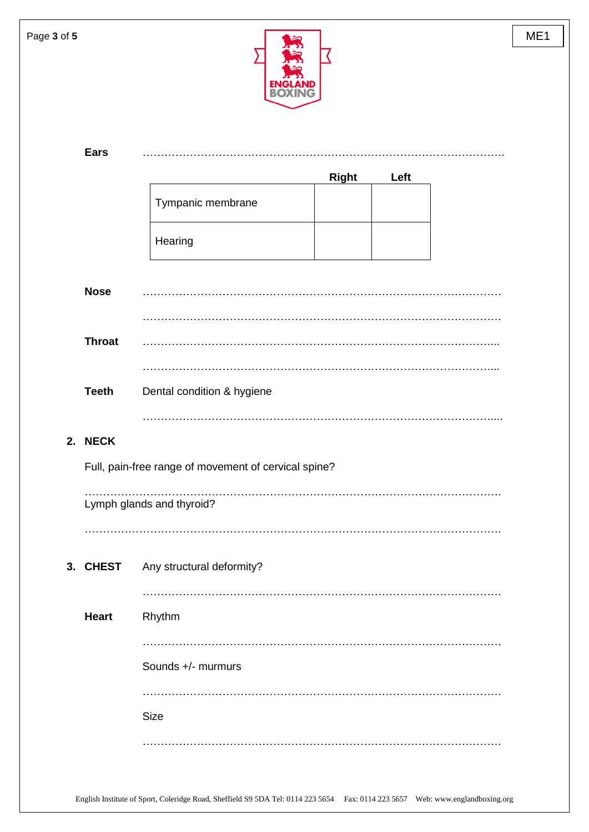| Page 3 of 5 |                           |                                                      | ME1 |  |  |
|-------------|---------------------------|------------------------------------------------------|-----|--|--|
|             | <b>Ears</b>               | <b>Right</b><br>Left                                 |     |  |  |
|             |                           | Tympanic membrane                                    |     |  |  |
|             |                           | Hearing                                              |     |  |  |
|             | <b>Nose</b>               |                                                      |     |  |  |
|             | <b>Throat</b>             |                                                      |     |  |  |
|             | <b>Teeth</b>              | Dental condition & hygiene                           |     |  |  |
|             | 2. NECK                   | Full, pain-free range of movement of cervical spine? |     |  |  |
|             | Lymph glands and thyroid? |                                                      |     |  |  |
|             | 3. CHEST                  | Any structural deformity?                            |     |  |  |
|             | <b>Heart</b>              | Rhythm                                               |     |  |  |
|             |                           | Sounds +/- murmurs                                   |     |  |  |
|             |                           | Size                                                 |     |  |  |
|             |                           |                                                      |     |  |  |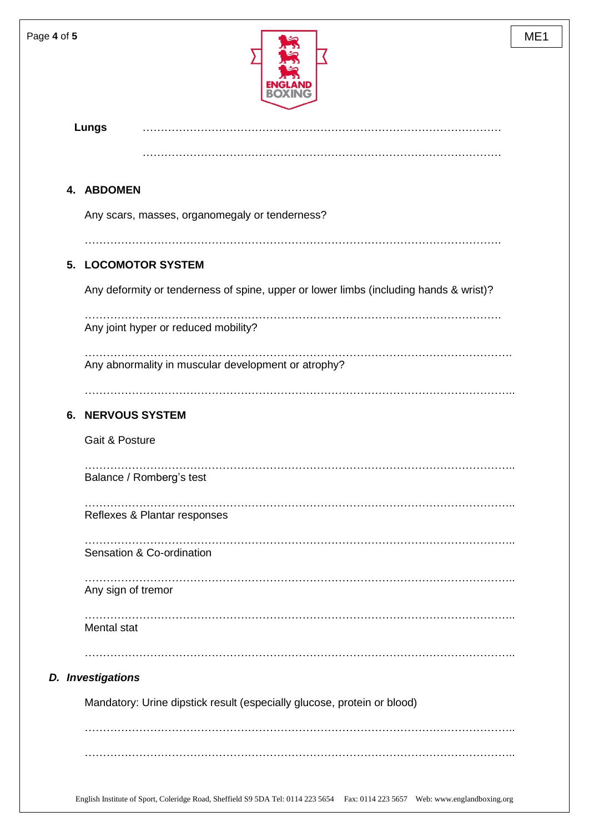

|    | <b>Lungs</b>                                                                                        |
|----|-----------------------------------------------------------------------------------------------------|
|    |                                                                                                     |
|    | 4. ABDOMEN                                                                                          |
|    | Any scars, masses, organomegaly or tenderness?                                                      |
| 5. | <b>LOCOMOTOR SYSTEM</b>                                                                             |
|    | Any deformity or tenderness of spine, upper or lower limbs (including hands & wrist)?               |
|    | Any joint hyper or reduced mobility?                                                                |
|    | Any abnormality in muscular development or atrophy?                                                 |
| 6. | <b>NERVOUS SYSTEM</b>                                                                               |
|    | Gait & Posture                                                                                      |
|    | Balance / Romberg's test                                                                            |
|    | Reflexes & Plantar responses                                                                        |
|    | Sensation & Co-ordination                                                                           |
|    | Any sign of tremor                                                                                  |
|    | Mental stat                                                                                         |
|    |                                                                                                     |
|    | <b>D.</b> Investigations<br>Mandatory: Urine dipstick result (especially glucose, protein or blood) |